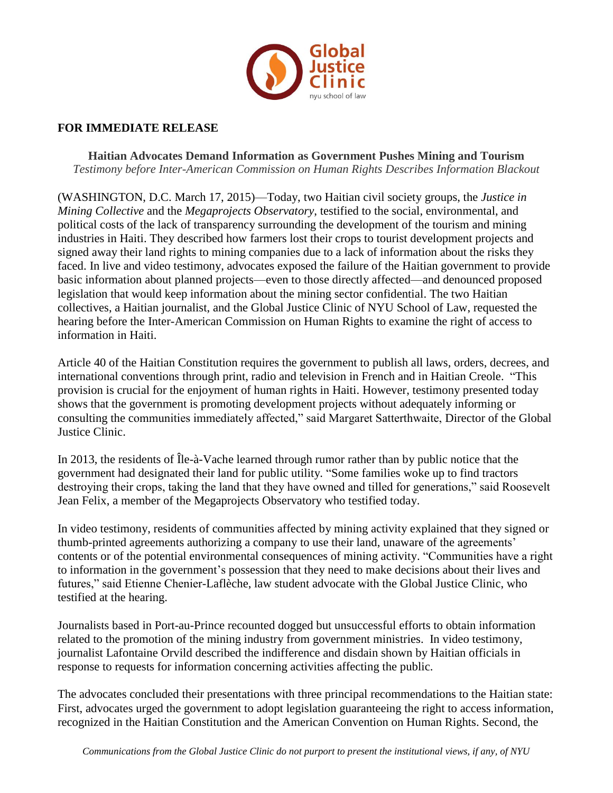

## **FOR IMMEDIATE RELEASE**

**Haitian Advocates Demand Information as Government Pushes Mining and Tourism** *Testimony before Inter-American Commission on Human Rights Describes Information Blackout*

(WASHINGTON, D.C. March 17, 2015)—Today, two Haitian civil society groups, the *Justice in Mining Collective* and the *Megaprojects Observatory*, testified to the social, environmental, and political costs of the lack of transparency surrounding the development of the tourism and mining industries in Haiti. They described how farmers lost their crops to tourist development projects and signed away their land rights to mining companies due to a lack of information about the risks they faced. In live and video testimony, advocates exposed the failure of the Haitian government to provide basic information about planned projects—even to those directly affected—and denounced proposed legislation that would keep information about the mining sector confidential. The two Haitian collectives, a Haitian journalist, and the Global Justice Clinic of NYU School of Law, requested the hearing before the Inter-American Commission on Human Rights to examine the right of access to information in Haiti.

Article 40 of the Haitian Constitution requires the government to publish all laws, orders, decrees, and international conventions through print, radio and television in French and in Haitian Creole. "This provision is crucial for the enjoyment of human rights in Haiti. However, testimony presented today shows that the government is promoting development projects without adequately informing or consulting the communities immediately affected," said Margaret Satterthwaite, Director of the Global Justice Clinic.

In 2013, the residents of Île-à-Vache learned through rumor rather than by public notice that the government had designated their land for public utility. "Some families woke up to find tractors destroying their crops, taking the land that they have owned and tilled for generations," said Roosevelt Jean Felix, a member of the Megaprojects Observatory who testified today.

In video testimony, residents of communities affected by mining activity explained that they signed or thumb-printed agreements authorizing a company to use their land, unaware of the agreements' contents or of the potential environmental consequences of mining activity. "Communities have a right to information in the government's possession that they need to make decisions about their lives and futures," said Etienne Chenier-Laflèche, law student advocate with the Global Justice Clinic, who testified at the hearing.

Journalists based in Port-au-Prince recounted dogged but unsuccessful efforts to obtain information related to the promotion of the mining industry from government ministries. In video testimony, journalist Lafontaine Orvild described the indifference and disdain shown by Haitian officials in response to requests for information concerning activities affecting the public.

The advocates concluded their presentations with three principal recommendations to the Haitian state: First, advocates urged the government to adopt legislation guaranteeing the right to access information, recognized in the Haitian Constitution and the American Convention on Human Rights. Second, the